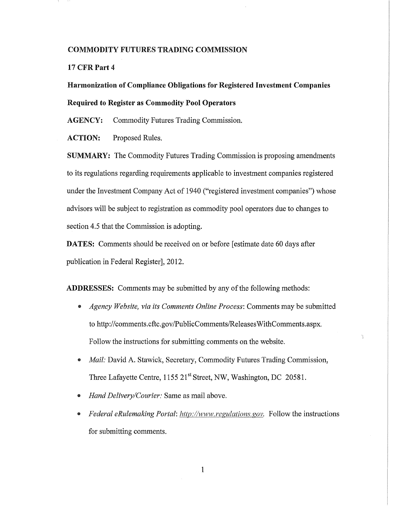#### COMMODITY FUTURES TRADING COMMISSION

17 CFR Part 4

# Harmonization of Compliance Obligations for Registered Investment Companies Required to Register as Commodity Pool Operators

AGENCY: Commodity Futures Trading Commission.

ACTION: Proposed Rules.

SUMMARY: The Commodity Futures Trading Commission is proposing amendments to its regulations regarding requirements applicable to investment companies registered under the Investment Company Act of 1940 ("registered investment companies") whose advisors will be subject to registration as commodity pool operators due to changes to section 4.5 that the Commission is adopting.

DATES: Comments should be received on or before [estimate date 60 days after publication in Federal Register], 2012.

ADDRESSES: Comments may be submitted by any of the following methods:

Agency Website, via its Comments Online Process: Comments may be submitted to http://comments.cftc.gov/PublicComments/ReleasesWithComments.aspx. Follow the instructions for submitting comments on the website.

 $\tilde{\chi}$ 

- $\bullet$  *Mail: David A. Stawick, Secretary, Commodity Futures Trading Commission,* Three Lafayette Centre, 1155 21<sup>st</sup> Street, NW, Washington, DC 20581.
- Hand Delivery/Courier: Same as mail above.
- *Federal eRulemaking Portal: http://www.regulations.gov.* Follow the instructions for submitting comments.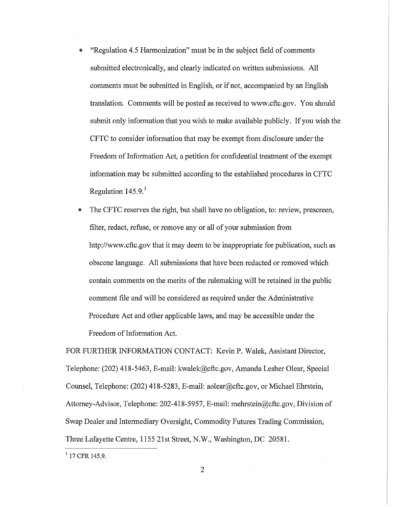- "Regulation 4.5 Harmonization" must be in the subject field of comments submitted electronically, and clearly indicated on written submissions. All comments must be submitted in English, or if not, accompanied by an English translation. Comments will be posted as received to www.cftc.gov. You should submit only information that you wish to make available publicly. If you wish the CFTC to consider information that may be exempt from disclosure under the Freedom of Information Act, a petition for confidential treatment of the exempt information may be submitted according to the established procedures in CFTC Regulation  $145.9<sup>1</sup>$
- The CFTC reserves the right, but shall have no obligation, to: review, prescreen, filter, redact, refuse, or remove any or all of your submission from http://www.cftc.gov that it may deem to be inappropriate for publication, such as obscene language. All submissions that have been redacted or removed which contain comments on the merits of the rulemaking will be retained in the public comment file and will be considered as required under the Administrative Procedure Act and other applicable laws, and may be accessible under the Freedom of Information Act.

FOR FURTHER INFORMATION CONTACT: Kevin P. Walek, Assistant Director, Telephone: (202) 418-5463, E-mail: kwalek@cftc.gov, Amanda Lesher Olear, Special Counsel, Telephone: (202) 418-5283, E-mail: aolear@cftc.gov, or Michael Ehrstein, Attorney-Advisor, Telephone: 202-418-5957, E-mail: mehrstein@cftc.gov, Division of Swap Dealer and Intermediary Oversight, Commodity Futures Trading Commission, Three Lafayette Centre, 1155 21st Street, N.W., Washington, DC 20581.

<sup>1</sup> 17 CFR 145.9.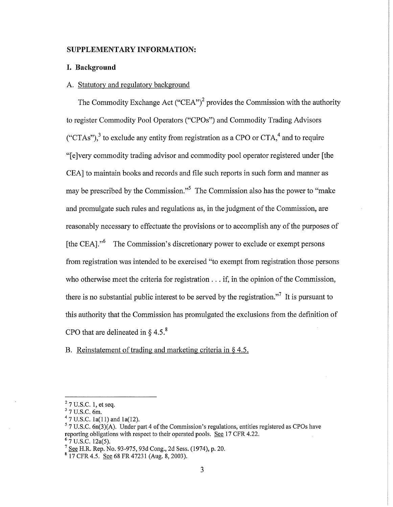#### SUPPLEMENTARY INFORMATION:

#### **I. Background**

#### A. Statutory and regulatory background

The Commodity Exchange Act ("CEA")<sup>2</sup> provides the Commission with the authority to register Commodity Pool Operators ("CPOs") and Commodity Trading Advisors ("CTAs"), $3$  to exclude any entity from registration as a CPO or CTA, $4$  and to require "[e]very commodity trading advisor and commodity pool operator registered under [the CEA] to maintain books and records and file such reports in such form and manner as may be prescribed by the Commission."<sup>5</sup> The Commission also has the power to "make" and promulgate such rules and regulations as, in the judgment of the Commission, are reasonably necessary to effectuate the provisions or to accomplish any of the purposes of [the CEA].<sup>,,6</sup> The Commission's discretionary power to exclude or exempt persons from registration was intended to be exercised "to exempt from registration those persons who otherwise meet the criteria for registration ... if, in the opinion of the Commission, there is no substantial public interest to be served by the registration."<sup>7</sup> It is pursuant to this authority that the Commission has promulgated the exclusions from the definition of CPO that are delineated in  $\S$  4.5.<sup>8</sup>

B. Reinstatement of trading and marketing criteria in § 4.5.

 $27$  U.S.C. 1, et seq.

 $3$  7 U.S.C. 6m.

 $47$  U.S.C. 1a(11) and 1a(12).

 $57 \text{ U.S.C.}$  6n(3)(A). Under part 4 of the Commission's regulations, entities registered as CPOs have reporting obligations with respect to their operated pools. See 17 CFR 4.22.  $67$  U.S.C. 12a(5).

<sup>7</sup> See H.R. Rep. No. 93-975, 93d Cong., 2d Sess. (1974), p. 20.

 $8$  17 CFR 4.5. See 68 FR 47231 (Aug. 8, 2003).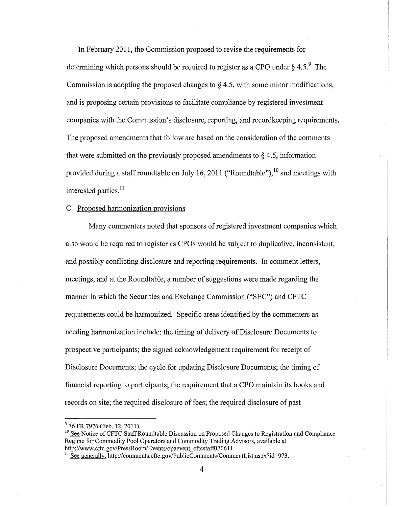In February 2011, the Commission proposed to revise the requirements for determining which persons should be required to register as a CPO under  $\S 4.5$ .<sup>9</sup> The Commission is adopting the proposed changes to  $\S$  4.5, with some minor modifications, and is proposing certain provisions to facilitate compliance by registered investment companies with the Commission's disclosure, reporting, and recordkeeping requirements. The proposed amendments that follow are based on the consideration of the comments that were submitted on the previously proposed amendments to  $\S 4.5$ , information provided during a staff roundtable on July 16, 2011 ("Roundtable"), $^{10}$  and meetings with interested parties.<sup>11</sup>

#### C. Proposed harmonization provisions

Many commenters noted that sponsors of registered investment companies which also would be required to register as CPOs would be subject to duplicative, inconsistent, and possibly conflicting disclosure and reporting requirements. In comment letters, meetings, and at the Roundtable, a number of suggestions were made regarding the manner in which the Securities and Exchange Commission ("SEC") and CFTC requirements could be harmonized. Specific areas identified by the commenters as needing harmonization include: the timing of delivery of Disclosure Documents to prospective participants; the signed acknowledgement requirement for receipt of Disclosure Documents; the cycle for updating Disclosure Documents; the timing of financial reporting to participants; the requirement that a CPO maintain its books and records on site; the required disclosure of fees; the required disclosure of past

<sup>&</sup>lt;sup>9</sup> 76 FR 7976 (Feb. 12, 2011).

 $10$  See Notice of CFTC Staff Roundtable Discussion on Proposed Changes to Registration and Compliance Regime for Commodity Pool Operators and Commodity Trading Advisors, available at http://www.cftc.gov/PressRoom/Events/opaevent\_cftcstaff070611.

 $11 \text{ See generally, http://comments.cftc.gov/PublicComments/Comments/Comments.taspx?id=973.}$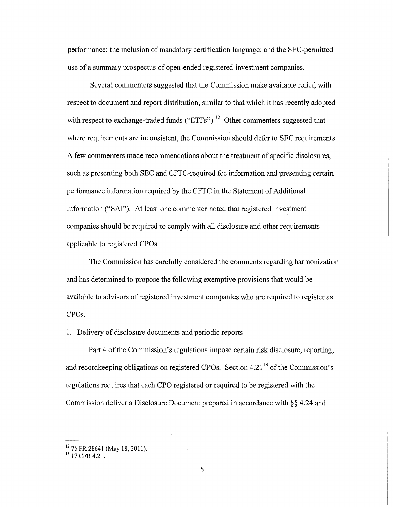performance; the inclusion of mandatory certification language; and the SEC-permitted use of a summary prospectus of open-ended registered investment companies.

Several commenters suggested that the Commission make available relief, with respect to document and report distribution, similar to that which it has recently adopted with respect to exchange-traded funds ("ETFs").<sup>12</sup> Other commenters suggested that where requirements are inconsistent, the Commission should defer to SEC requirements. A few commenters made recommendations about the treatment of specific disclosures, such as presenting both SEC and CFTC-required fee information and presenting certain performance information required by the CFTC in the Statement of Additional Information ("SAl"). At least one commenter noted that registered investment companies should be required to comply with all disclosure and other requirements applicable to registered CPOs.

The Commission has carefully considered the comments regarding harmonization and has determined to propose the following exemptive provisions that would be available to advisors of registered investment companies who are required to register as CPOs.

1. Delivery of disclosure documents and periodic reports

Part 4 of the Commission's regulations impose certain risk disclosure, reporting, and record keeping obligations on registered CPOs. Section  $4.21<sup>13</sup>$  of the Commission's regulations requires that each CPO registered or required to be registered with the Commission deliver a Disclosure Document prepared in accordance with §§ 4.24 and

 $^{12}$  76 FR 28641 (May 18, 2011).

 $13$  17 CFR 4.21.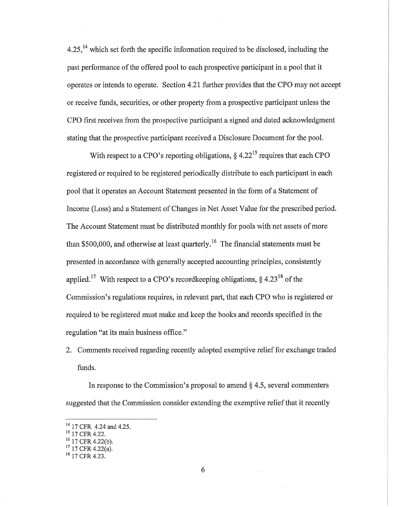$4.25$ ,<sup>14</sup> which set forth the specific information required to be disclosed, including the past performance of the offered pool to each prospective participant in a pool that it operates or intends to operate. Section 4.21 further provides that the CPO may not accept or receive funds, securities, or other property from a prospective participant unless the CPO first receives from the prospective participant a signed and dated acknowledgment stating that the prospective participant received a Disclosure Document for the pool.

With respect to a CPO's reporting obligations,  $\S 4.22^{15}$  requires that each CPO registered or required to be registered periodically distribute to each participant in each pool that it operates an Account Statement presented in the form of a Statement of Income (Loss) and a Statement of Changes in Net Asset Value for the prescribed period. The Account Statement must be distributed monthly for pools with net assets of more than \$500,000, and otherwise at least quarterly.<sup>16</sup> The financial statements must be presented in accordance with generally accepted accounting principles, consistently applied.<sup>17</sup> With respect to a CPO's recordkeeping obligations,  $\S$  4.23<sup>18</sup> of the Commission's regulations requires, in relevant part, that each CPO who is registered or required to be registered must make and keep the books and records specified in the regulation "at its main business office."

2. Comments received regarding recently adopted exemptive relief for exchange traded funds.

In response to the Commission's proposal to amend  $\S$  4.5, several commenters suggested that the Commission consider extending the exemptive relief that it recently

<sup>&</sup>lt;sup>14</sup> 17 CFR 4.24 and 4.25.

<sup>15 17</sup> CFR 4.22.

 $^{16}$  17 CFR 4.22(b).

 $17$  17 CFR 4.22(a).

 $18$  17 CFR 4.23.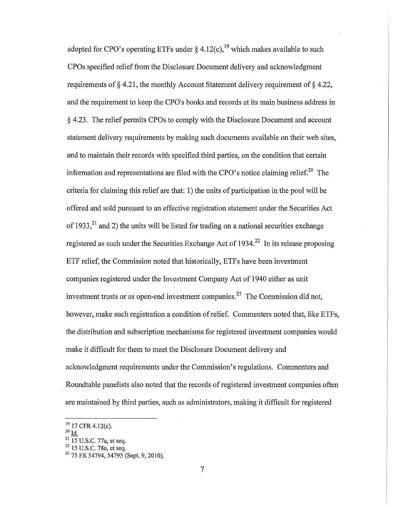adopted for CPO's operating ETFs under § 4.12(c),<sup>19</sup> which makes available to such CPOs specified relief from the Disclosure Document delivery and acknowledgment requirements of  $\S 4.21$ , the monthly Account Statement delivery requirement of  $\S 4.22$ , and the requirement to keep the CPO's books and records at its main business address in § 4.23. The relief permits CPOs to comply with the Disclosure Document and account statement delivery requirements by making such documents available on their web sites, and to maintain their records with specified third parties, on the condition that certain information and representations are filed with the CPO's notice claiming relief.<sup>20</sup> The criteria for claiming this relief are that: 1) the units of participation in the pool will be offered and sold pursuant to an effective registration statement under the Securities Act of 1933,<sup>21</sup> and 2) the units will be listed for trading on a national securities exchange registered as such under the Securities Exchange Act of 1934.<sup>22</sup> In its release proposing ETF relief, the Commission noted that historically, ETFs have been investment companies registered under the Investment Company Act of 1940 either as unit investment trusts or as open-end investment companies.<sup>23</sup> The Commission did not, however, make such registration a condition of relief. Commenters noted that, like ETFs, the distribution and subscription mechanisms for registered investment companies would make it difficult for them to meet the Disclosure Document delivery and acknowledgment requirements under the Commission's regulations. Commenters and Roundtable panelists also noted that the records of registered investment companies often are maintained by third parties, such as administrators, making it difficult for registered

 $20 \underline{\mathbf{Id}}$ .

<sup>&</sup>lt;sup>19</sup> 17 CFR 4.12(c).

 $^{21}$  15 U.S.C. 77a, et seq.

 $^{22}$  15 U.S.C. 78a, et seq.

<sup>&</sup>lt;sup>23</sup> 75 FR 54794, 54795 (Sept. 9, 2010).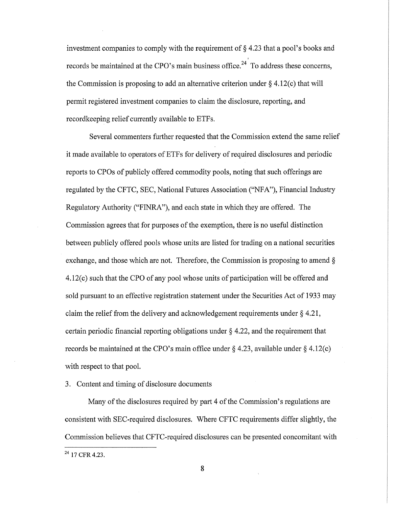investment companies to comply with the requirement of  $\S$  4.23 that a pool's books and , records be maintained at the CPO's main business office.<sup>24</sup> To address these concerns, the Commission is proposing to add an alternative criterion under  $\S 4.12(c)$  that will permit registered investment companies to claim the disclosure, reporting, and recordkeeping relief currently available to ETFs.

Several commenters further requested that the Commission extend the same relief it made available to operators of ETFs for delivery of required disclosures and periodic reports to CPOs of publicly offered commodity pools, noting that such offerings are regulated by the CFTC, SEC, National Futures Association ("NFA"), Financial Industry Regulatory Authority ("FINRA"), and each state in which they are offered. The Commission agrees that for purposes of the exemption, there is no useful distinction between publicly offered pools whose units are listed for trading on a national securities exchange, and those which are not. Therefore, the Commission is proposing to amend § 4.l2(c) such that the CPO of any pool whose units of participation will be offered and sold pursuant to an effective registration statement under the Securities Act of 1933 may claim the relief from the delivery and acknowledgement requirements under § 4.21, certain periodic financial reporting obligations under § 4.22, and the requirement that records be maintained at the CPO's main office under  $\S$  4.23, available under  $\S$  4.12(c) with respect to that pool.

# 3. Content and timing of disclosure documents

Many of the disclosures required by part 4 of the Commission's regulations are consistent with SEC-required disclosures. Where CFTC requirements differ slightly, the Commission believes that CFTC-required disclosures can be presented concomitant with

 $^{24}$  17 CFR 4.23.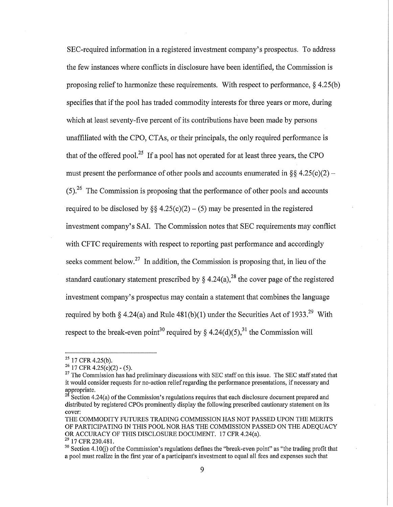SEC-required information in a registered investment company's prospectus. To address the few instances where conflicts in disclosure have been identified, the Commission is proposing relief to harmonize these requirements. With respect to performance,  $\S$  4.25(b) specifies that if the pool has traded commodity interests for three years or more, during which at least seventy-five percent of its contributions have been made by persons unaffiliated with the CPO, CTAs, or their principals, the only required performance is that of the offered pool.<sup>25</sup> If a pool has not operated for at least three years, the CPO must present the performance of other pools and accounts enumerated in  $\S$ § 4.25(c)(2) –  $(5)$ <sup>26</sup>. The Commission is proposing that the performance of other pools and accounts required to be disclosed by  $\S$  4.25(c)(2) – (5) may be presented in the registered investment company's SAL The Commission notes that SEC requirements may conflict with CFTC requirements with respect to reporting past performance and accordingly seeks comment below.<sup>27</sup> In addition, the Commission is proposing that, in lieu of the standard cautionary statement prescribed by  $\S 4.24(a)$ ,<sup>28</sup> the cover page of the registered investment company's prospectus may contain a statement that combines the language required by both § 4.24(a) and Rule  $481(b)(1)$  under the Securities Act of 1933.<sup>29</sup> With respect to the break-even point<sup>30</sup> required by § 4.24(d)(5),<sup>31</sup> the Commission will

<sup>&</sup>lt;sup>25</sup> 17 CFR 4.25(b).

 $26$  17 CFR 4.25(c)(2) - (5).

<sup>&</sup>lt;sup>27</sup> The Commission has had preliminary discussions with SEC staff on this issue. The SEC staff stated that it would consider requests for no-action relief regarding the performance presentations, if necessary and  $\frac{1}{28}$ appropriate.

Section 4.24(a) of the Commission's regulations requires that each disclosure document prepared and distributed by registered CPOs prominently display the following prescribed cautionary statement on its cover:

THE COMMODITY FUTURES TRADING COMMISSION HAS NOT PASSED UPON THE MERITS OF PARTICIPATING IN THlS POOL NOR HAS THE COMMISSION PASSED ON THE ADEQUACY OR ACCURACY OF THlS DISCLOSURE DOCUMENT. 17 CFR 4.24(a). <sup>29</sup> 17 CFR 230.481.

 $30$  Section 4.10(i) of the Commission's regulations defines the "break-even point" as "the trading profit that a pool must realize in the first year of a participant's investment to equal all fees and expenses such that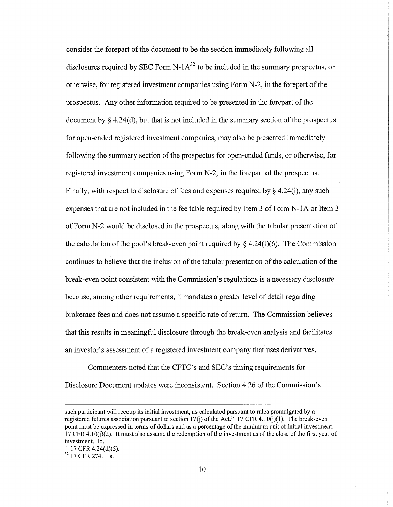consider the forepart of the document to be the section immediately following all disclosures required by SEC Form N-1 $A^{32}$  to be included in the summary prospectus, or otherwise, for registered investment companies using Form N-2, in the forepart of the prospectus. Any other information required to be presented in the forepart of the document by § 4.24(d), but that is not included in the summary section of the prospectus for open-ended registered investment companies, may also be presented immediately following the summary section of the prospectus for open-ended funds, or otherwise, for registered investment companies using Form N-2, in the forepart of the prospectus. Finally, with respect to disclosure of fees and expenses required by  $\S$  4.24(i), any such expenses that are not included in the fee table required by Item 3 of Form N-IA or Item 3 of Form N-2 would be disclosed in the prospectus, along with the tabular presentation of the calculation of the pool's break-even point required by  $\S$  4.24(i)(6). The Commission continues to believe that the inclusion of the tabular presentation of the calculation of the break-even point consistent with the Commission's regulations is a necessary disclosure because, among other requirements, it mandates a greater level of detail regarding brokerage fees and does not assume a specific rate of return. The Commission believes that this results in meaningful disclosure through the break-even analysis and facilitates an investor's assessment of a registered investment company that uses derivatives.

Commenters noted that the CFTC's and SEC's timing requirements for Disclosure Document updates were inconsistent. Section 4.26 of the Commission's

such participant will recoup its initial investment, as calculated pursuant to rules promulgated by a registered futures association pursuant to section 17(j) of the Act." 17 CFR 4.10(j)(1). The break-even point must be expressed in terms of dollars and as a percentage of the minimum unit of initial investment. 17 CFR 4.10(j)(2). It must also assume the redemption of the investment as of the close of the first year of investment. Id.

 $^{31}$  17 CFR 4.24(d)(5).<br> $^{32}$  17 CFR 274.11a.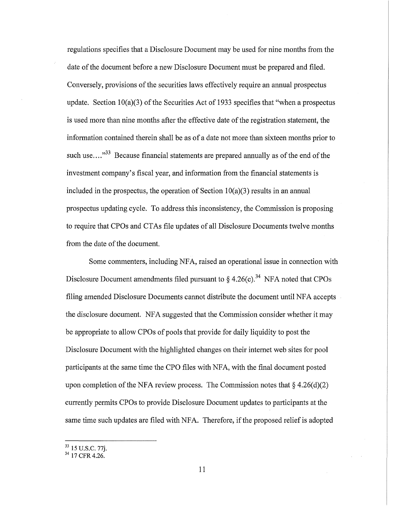regulations specifies that a Disclosure Document may be used for nine months from the date of the document before a new Disclosure Document must be prepared and filed. Conversely, provisions of the securities laws effectively require an annual prospectus update. Section 10(a)(3) of the Securities Act of 1933 specifies that "when a prospectus is used more than nine months after the effective date of the registration statement, the information contained therein shall be as of a date not more than sixteen months prior to such use  $\dots$ <sup>33</sup> Because financial statements are prepared annually as of the end of the investment company's fiscal year, and information from the financial statements is included in the prospectus, the operation of Section  $10(a)(3)$  results in an annual prospectus updating cycle. To address this inconsistency, the Commission is proposing to require that CPOs and CTAs file updates of all Disclosure Documents twelve months from the date of the document.

Some commenters, including NF A, raised an operational issue in connection with Disclosure Document amendments filed pursuant to  $\S$  4.26(c).<sup>34</sup> NFA noted that CPOs filing amended Disclosure Documents cannot distribute the document until NFA accepts the disclosure document. NFA suggested that the Commission consider whether it may be appropriate to allow CPOs of pools that provide for daily liquidity to post the Disclosure Document with the highlighted changes on their internet web sites for pool participants at the same time the CPO files with NF A, with the final document posted upon completion of the NFA review process. The Commission notes that  $\S 4.26(d)(2)$ currently permits CPOs to provide Disclosure Document updates to participants at the same time such updates are filed with NFA. Therefore, if the proposed relief is adopted

<sup>&</sup>lt;sup>33</sup> 15 U.S.C. 77j.

 $34$  17 CFR 4.26.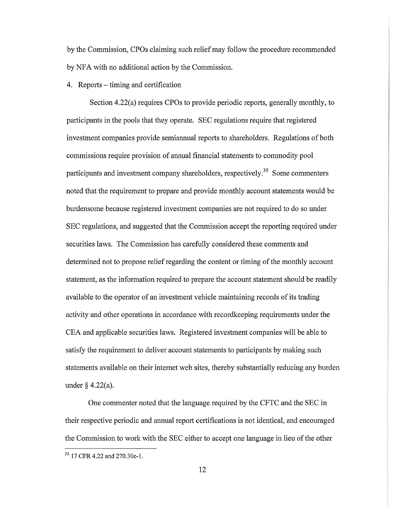by the Commission, CPOs claiming such relief may follow the procedure recommended by NFA with no additional action by the Commission.

4. Reports – timing and certification

Section 4.22(a) requires CPOs to provide periodic reports, generally monthly, to participants in the pools that they operate. SEC regulations require that registered investment companies provide semiannual reports to shareholders. Regulations of both commissions require provision of annual financial statements to commodity pool participants and investment company shareholders, respectively.<sup>35</sup> Some commenters noted that the requirement to prepare and provide monthly account statements would be burdensome because registered investment companies are not required to do so under SEC regulations, and suggested that the Commission accept the reporting required under securities laws. The Commission has carefully considered these comments and determined not to propose relief regarding the content or timing of the monthly account statement, as the information required to prepare the account statement should be readily available to the operator of an investment vehicle maintaining records of its trading activity and other operations in accordance with recordkeeping requirements under the CEA and applicable securities laws. Registered investment companies will be able to satisfy the requirement to deliver account statements to participants by making such statements available on their internet web sites, thereby substantially reducing any burden under § 4.22(a).

One commenter noted that the language required by the CFTC and the SEC in their respective periodic and annual report certifications is not identical, and encouraged the Commission to work with the SEC either to accept one language in lieu of the other

<sup>35 17</sup> CFR 4.22 and 270.30e-1.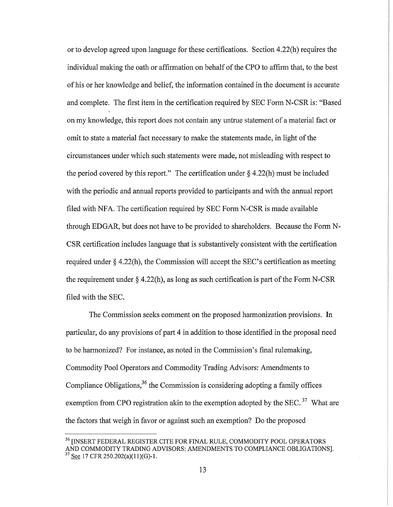or to develop agreed upon language for these certifications. Section 4.22(h) requires the individual making the oath or affirmation on behalf of the CPO to affirm that, to the best of his or her knowledge and belief, the information contained in the document is accurate and complete. The first item in the certification required by SEC Form N-CSR is: "Based on my knowledge, this report does not contain any untrue statement of a material fact or omit to state a material fact necessary to make the statements made, in light of the circumstances under which such statements were made, not misleading with respect to the period covered by this report." The certification under  $\S$  4.22(h) must be included with the periodic and annual reports provided to participants and with the annual report filed with NFA. The certification required by SEC Form N-CSR is made available through EDGAR, but does not have to be provided to shareholders. Because the Form N-CSR certification includes language that is substantively consistent with the certification required under § 4.22(h), the Commission will accept the SEC's certification as meeting the requirement under  $\S$  4.22(h), as long as such certification is part of the Form N-CSR filed with the SEC.

The Commission seeks comment on the proposed harmonization provisions. In particular, do any provisions of part 4 in addition to those identified in the proposal need to be harmonized? For instance, as noted in the Commission's final rulemaking, Commodity Pool Operators and Commodity Trading Advisors: Amendments to Compliance Obligations,  $36$  the Commission is considering adopting a family offices exemption from CPO registration akin to the exemption adopted by the SEC.<sup>37</sup> What are the factors that weigh in favor or against such an exemption? Do the proposed

<sup>&</sup>lt;sup>36</sup> [INSERT FEDERAL REGISTER CITE FOR FINAL RULE, COMMODITY POOL OPERATORS AND COMMODITY TRADING ADVISORS: AMENDMENTS TO COMPLIANCE OBLIGATIONS]. <sup>37</sup> See 17 CFR 250.202(a)(11)(G)-1.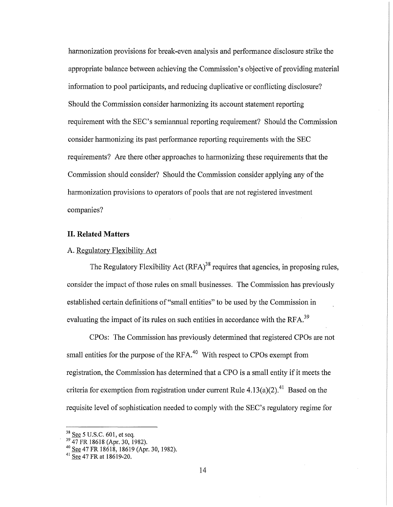harmonization provisions for break-even analysis and performance disclosure strike the appropriate balance between achieving the Commission's objective of providing material information to pool participants, and reducing duplicative or conflicting disclosure? Should the Commission consider hatmonizing its account statement reporting requirement with the SEC's semiannual reporting requirement? Should the Commission consider harmonizing its past performance reporting requirements with the SEC requirements? Are there other approaches to harmonizing these requirements that the Commission should consider? Should the Commission consider applying any of the harmonization provisions to operators of pools that are not registered investment companies?

## **II. Related Matters**

# A. Regulatory Flexibility Act

The Regulatory Flexibility Act  $(RFA)^{38}$  requires that agencies, in proposing rules, consider the impact of those rules on small businesses. The Commission has previously established certain definitions of "small entities" to be used by the Commission in evaluating the impact of its rules on such entities in accordance with the RFA.<sup>39</sup>

CPOs: The Commission has previously determined that registered CPOs are not small entities for the purpose of the RFA.<sup>40</sup> With respect to CPOs exempt from registration, the Commission has determined that a CPO is a small entity if it meets the criteria for exemption from registration under current Rule  $4.13(a)(2)$ <sup>41</sup> Based on the requisite level of sophistication needed to comply with the SEC's regulatory regime for

 $38 \text{ See } 5 \text{ U.S.C. } 601$ , et seq.

<sup>39</sup> 47 FR 18618 (Apr. 30, 1982).

 $40$  See 47 FR 18618, 18619 (Apr. 30, 1982).

 $41$  See 47 FR at 18619-20.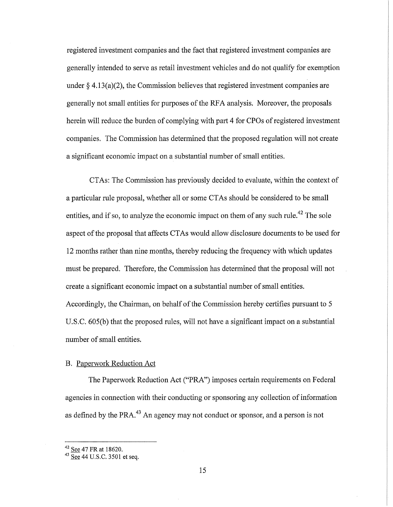registered investment companies and the fact that registered investment companies are generally intended to serve as retail investment vehicles and do not qualify for exemption under  $\S 4.13(a)(2)$ , the Commission believes that registered investment companies are generally not small entities for purposes of the RF A analysis. Moreover, the proposals herein will reduce the burden of complying with part 4 for CPOs of registered investment companies. The Commission has determined that the proposed regulation will not create a significant economic impact on a substantial number of small entities.

CTAs: The Commission has previously decided to evaluate, within the context of a particular rule proposal, whether all or some CT As should be considered to be small entities, and if so, to analyze the economic impact on them of any such rule.<sup>42</sup> The sole aspect of the proposal that affects CTAs would allow disclosure documents to be used for 12 months rather than nine months, thereby reducing the frequency with which updates must be prepared. Therefore, the Commission has determined that the proposal will not create a significant economic impact on a substantial number of small entities. Accordingly, the Chairman, on behalf of the Commission hereby certifies pursuant to 5 U.S.C. 605(b) that the proposed rules, will not have a significant impact on a substantial number of small entities.

## B. Paperwork Reduction Act

The Paperwork Reduction Act ("PRA") imposes certain requirements on Federal agencies in connection with their conducting or sponsoring any collection of information as defined by the PRA.<sup>43</sup> An agency may not conduct or sponsor, and a person is not

 $42$  See 47 FR at 18620.

 $43$  See 44 U.S.C. 3501 et seq.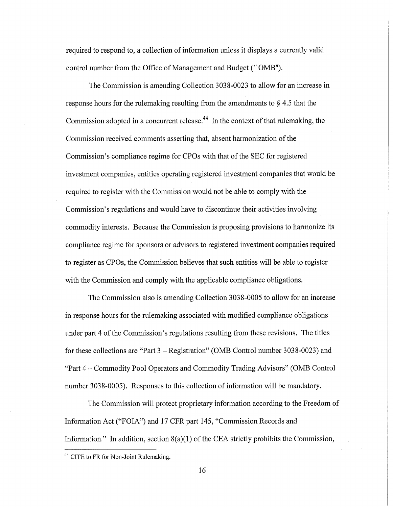required to respond to, a collection of information unless it displays a currently valid control number from the Office of Management and Budget ("OMB").

The Commission is amending Collection 3038-0023 to allow for an increase in response hours for the rulemaking resulting from the amendments to  $\S 4.5$  that the Commission adopted in a concurrent release.<sup>44</sup> In the context of that rulemaking, the Commission received comments asserting that, absent harmonization of the Commission's compliance regime for CPOs with that of the SEC for registered investment companies, entities operating registered investment companies that would be required to register with the Commission would not be able to comply with the Commission's regulations and would have to discontinue their activities involving commodity interests. Because the Commission is proposing provisions to harmonize its compliance regime for sponsors or advisors to registered investment companies required to register as CPOs, the Commission believes that such entities will be able to register with the Commission and comply with the applicable compliance obligations.

The Commission also is amending Collection 3038-0005 to allow for an increase in response hours for the rulemaking associated with modified compliance obligations under part 4 of the Commission's regulations resulting from these revisions. The titles for these collections are "Part 3 - Registration" (OMB Control number 3038-0023) and "Part 4 - Commodity Pool Operators and Commodity Trading Advisors" (OMB Control number 3038-0005). Responses to this collection of information will be mandatory.

The Commission will protect proprietary information according to the Freedom of Information Act ("FOIA") and 17 CFR part 145, "Commission Records and Information." In addition, section  $8(a)(1)$  of the CEA strictly prohibits the Commission,

<sup>&</sup>lt;sup>44</sup> CITE to FR for Non-Joint Rulemaking.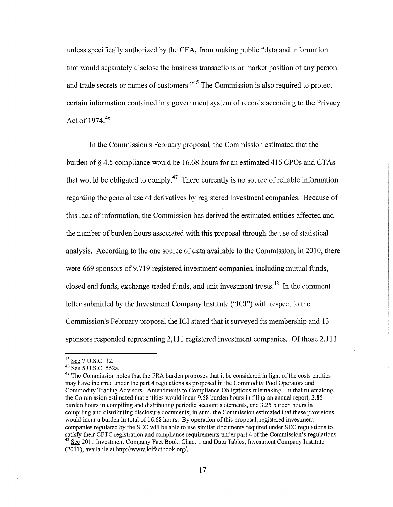unless specifically authorized by the CEA, from making public "data and information that would separately disclose the business transactions or market position of any person and trade secrets or names of customers."<sup>45</sup> The Commission is also required to protect certain information contained in a government system of records according to the Privacy Act of  $1974^{46}$ 

In the Commission's February proposal, the Commission estimated that the burden of § 4.5 compliance would be 16.68 hours for an estimated 416 CPOs and CTAs that would be obligated to comply.<sup>47</sup> There currently is no source of reliable information regarding the general use of derivatives by registered investment companies. Because of this lack of information, the Commission has derived the estimated entities affected and the number of burden hours associated with this proposal through the use of statistical analysis. According to the one source of data available to the Commission, in 2010, there were 669 sponsors of 9,719 registered investment companies, including mutual funds, closed end funds, exchange traded funds, and unit investment trusts.<sup>48</sup> In the comment letter submitted by the Investment Company Institute ("ICI") with respect to the Commission's February proposal the ICI stated that it surveyed its membership and 13 sponsors responded representing 2,111 registered investment companies. Of those 2,111

<sup>&</sup>lt;sup>45</sup> See 7 U.S.C. 12.

<sup>&</sup>lt;sup>46</sup> <u>See</u> 5 U.S.C. 552a.

 $47$  The Commission notes that the PRA burden proposes that it be considered in light of the costs entities may have incurred under the part 4 regulations as proposed in the Commodity Pool Operators and Commodity Trading Advisors: Amendments to Compliance Obligations rulemaking. In that rulemaking, the Commission estimated that entities would incur 9.58 burden hours in filing an annual report, 3.85 burden hours in compiling and distributing periodic account statements, and 3.25 burden hours in compiling and distributing disclosure documents; in sum, the Commission estimated that these provisions would incur a burden in total of 16.68 hours. By operation of this proposal, registered investment companies regulated by the SEC will be able to use similar documents required under SEC regulations to satisfy their CFTC registration and compliance requirements under part 4 of the Commission's regulations. <sup>48</sup> See 2011 Investment Company Fact Book, Chap. 1 and Data Tables, Investment Company Institute  $(2011)$ , available at http://www.icifactbook.org/.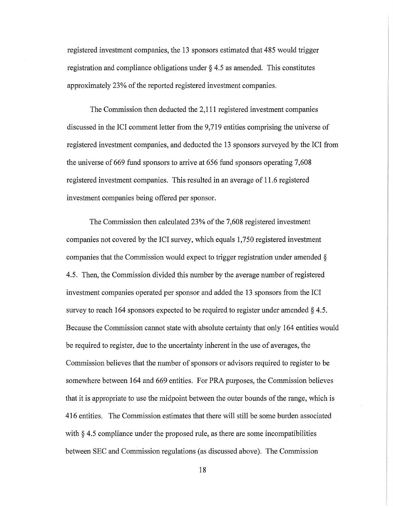registered investment companies, the 13 sponsors estimated that 485 would trigger registration and compliance obligations under § 4.5 as amended. This constitutes approximately 23% of the reported registered investment companies.

The Commission then deducted the 2,111 registered investment companies discussed in the ICI comment letter from the 9,719 entities comprising the universe of registered investment companies, and deducted the 13 sponsors surveyed by the ICI from the universe of 669 fund sponsors to arrive at 656 fund sponsors operating 7,608 registered investment companies. This resulted in an average of 11.6 registered investment companies being offered per sponsor.

The Commission then calculated 23% of the 7,608 registered investment companies not covered by the ICI survey, which equals 1,750 registered investment companies that the Commission would expect to trigger registration under amended  $\delta$ 4.5. Then, the Commission divided this number by the average number of registered investment companies operated per sponsor and added the 13 sponsors from the ICI survey to reach 164 sponsors expected to be required to register under amended § 4.5. Because the Commission cannot state with absolute certainty that only 164 entities would be required to register, due to the uncertainty inherent in the use of averages, the Commission believes that the number of sponsors or advisors required to register to be somewhere between 164 and 669 entities. For PRA purposes, the Commission believes that it is appropriate to use the midpoint between the outer bounds of the range, which is 416 entities. The Commission estimates that there will still be some burden associated with  $\S 4.5$  compliance under the proposed rule, as there are some incompatibilities between SEC and Commission regulations (as discussed above). The Commission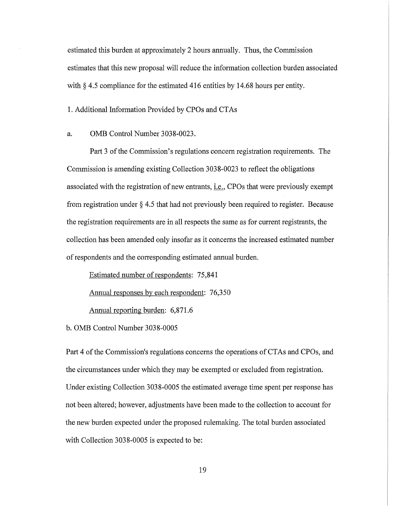estimated this burden at approximately 2 hours annually. Thus, the Commission estimates that this new proposal will reduce the information collection burden associated with  $\S 4.5$  compliance for the estimated 416 entities by 14.68 hours per entity.

1. Additional Information Provided by CPOs and CTAs

#### a. OMB Control Number 3038-0023.

Part 3 of the Commission's regulations concern registration requirements. The Commission is amending existing Collection 3038-0023 to reflect the obligations associated with the registration of new entrants, *i.e.*, CPOs that were previously exempt from registration under § 4.5 that had not previously been required to register. Because the registration requirements are in all respects the same as for current registrants, the collection has been amended only insofar as it concerns the increased estimated number of respondents and the corresponding estimated annual burden.

Estimated number of respondents: 75,841

Annual responses by each respondent: 76,350

Annual reporting burden: 6,871.6

b. OMB Control Number 3038-0005

Part 4 of the Commission's regulations concerns the operations of CTAs and CPOs, and the circumstances under which they may be exempted or excluded from registration. Under existing Collection 3038-0005 the estimated average time spent per response has not been altered; however, adjustments have been made to the collection to account for the new burden expected under the proposed rulemaking. The total burden associated with Collection 3038-0005 is expected to be: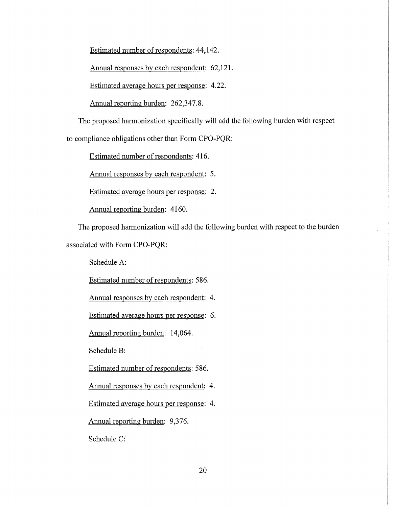Estimated number of respondents: 44,142.

Annual responses by each respondent: 62,121.

Estimated average hours per response: 4.22.

Annual reporting burden: 262,347.8.

The proposed harmonization specifically will add the following burden with respect to compliance obligations other than Form CPO-PQR:

Estimated number of respondents: 416.

Annual responses by each respondent: 5.

Estimated average hours per response: 2.

Annual reporting burden: 4160.

The proposed harmonization will add the following burden with respect to the burden associated with Form CPO-PQR:

Schedule A:

Estimated number of respondents: 586.

Annual responses by each respondent: 4.

Estimated average hours per response: 6.

Annual reporting burden: 14,064.

Schedule B:

Estimated number of respondents: 586.

Annual responses by each respondent: 4.

Estimated average hours per response: 4.

Annual reporting burden: 9,376.

Schedule C: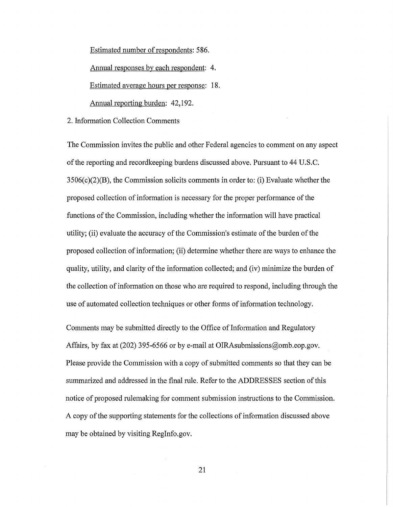Estimated number of respondents: 586.

Annual responses by each respondent: 4.

Estimated average hours per response: 18.

Annual reporting burden: 42,192.

2. Information Collection Comments

The Commission invites the public and other Federal agencies to comment on any aspect of the reporting and recordkeeping burdens discussed above. Pursuant to 44 U.S.C. 3506(c)(2)(B), the Commission solicits comments in order to: (i) Evaluate whether the proposed collection of information is necessary for the proper performance of the functions of the Commission, including whether the information will have practical utility; (ii) evaluate the accuracy of the Commission's estimate of the burden of the proposed collection of information; (ii) determine whether there are ways to enhance the quality, utility, and clarity of the information collected; and (iv) minimize the burden of the collection of information on those who are required to respond, including through the use of automated collection techniques or other forms of information technology.

Comments may be submitted directly to the Office of Information and Regulatory Affairs, by fax at (202) 395-6566 or by e-mail at OIRAsubmissions@omb.eop.gov. Please provide the Commission with a copy of submitted comments so that they can be summarized and addressed in the final rule. Refer to the ADDRESSES section of this notice of proposed rulemaking for comment submission instructions to the Commission. A copy of the supporting statements for the collections of information discussed above may be obtained by visiting RegInfo.gov.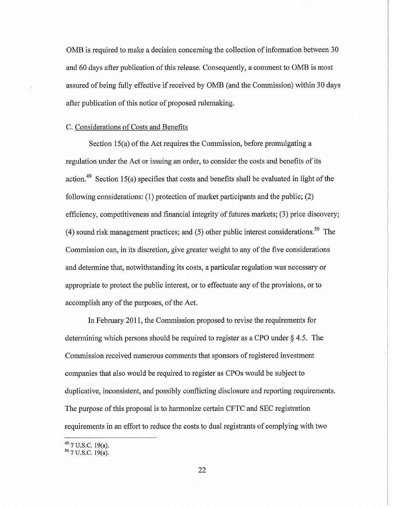OMB is required to make a decision concerning the collection of information between 30 and 60 days after publication of this release. Consequently, a comment to OMB is most assured of being fully effective if received by OMB (and the Commission) within 30 days after publication of this notice of proposed rulemaking.

#### C. Considerations of Costs and Benefits

Section 15(a) of the Act requires the Commission, before promulgating a regulation under the Act or issuing an order, to consider the costs and benefits of its action.<sup>49</sup> Section 15(a) specifies that costs and benefits shall be evaluated in light of the following considerations: (1) protection of market participants and the public; (2) efficiency, competitiveness and financial integrity of futures markets; (3) price discovery; (4) sound risk management practices; and (5) other public interest considerations.<sup>50</sup> The Commission can, in its discretion, give greater weight to any of the five considerations and determine that, notwithstanding its costs, a particular regulation was necessary or appropriate to protect the public interest, or to effectuate any of the provisions, or to accomplish any of the purposes, of the Act.

In February 2011, the Commission proposed to revise the requirements for determining which persons should be required to register as a CPO under § 4.5. The Commission received numerous comments that sponsors of registered investment companies that also would be required to register as CPOs would be subject to duplicative, inconsistent, and possibly conflicting disclosure and reporting requirements. The purpose of this proposal is to harmonize certain CFTC and SEC registration requirements in an effort to reduce the costs to dual registrants of complying with two

 $^{49}$  7 U.S.C. 19(a).<br> $^{50}$  7 U.S.C. 19(a).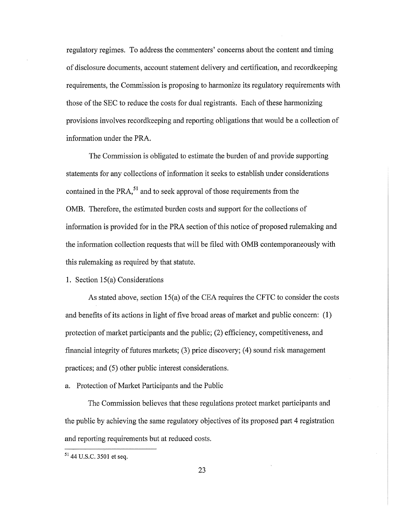regulatory regimes. To address the commenters' concerns about the content and timing of disclosure documents, account statement delivery and certification, and recordkeeping requirements, the Commission is proposing to harmonize its regulatory requirements with those of the SEC to reduce the costs for dual registrants. Each of these harmonizing provisions involves recordkeeping and reporting obligations that would be a collection of information under the PRA.

The Commission is obligated to estimate the burden of and provide supporting statements for any collections of information it seeks to establish under considerations contained in the PRA $<sup>51</sup>$  and to seek approval of those requirements from the</sup> OMB. Therefore, the estimated burden costs and support for the collections of information is provided for in the PRA section of this notice of proposed rulemaking and the information collection requests that will be filed with OMB contemporaneously with this rulemaking as required by that statute.

## 1. Section 15(a) Considerations

As stated above, section 15(a) of the CEA requires the CFTC to consider the costs and benefits of its actions in light of five broad areas of market and public concern: (1) protection of market participants and the public; (2) efficiency, competitiveness, and financial integrity of futures markets; (3) price discovery; (4) sound risk management practices; and (5) other public interest considerations.

a. Protection of Market Participants and the Public

The Commission believes that these regulations protect market participants and the public by achieving the same regulatory objectives of its proposed part 4 registration and reporting requirements but at reduced costs.

<sup>51</sup> 44 U.S.C. 3501 et seq.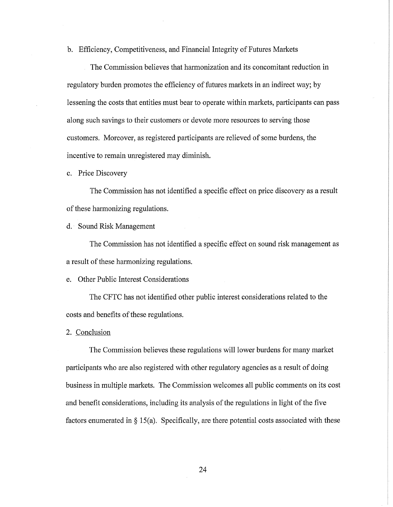b. Efficiency, Competitiveness, and Financial Integrity of Futures Markets

The Commission believes that harmonization and its concomitant reduction in regulatory burden promotes the efficiency of futures markets in an indirect way; by lessening the costs that entities must bear to operate within markets, participants can pass along such savings to their customers or devote more resources to serving those customers. Moreover, as registered participants are relieved of some burdens, the incentive to remain unregistered may diminish.

c. Price Discovery

The Commission has not identified a specific effect on price discovery as a result of these harmonizing regulations.

d. Sound Risk Management

The Commission has not identified a specific effect on sound risk management as a result of these harmonizing regulations.

e. Other Public Interest Considerations

The CFTC has not identified other public interest considerations related to the costs and benefits of these regulations.

2. Conclusion

The Commission believes these regulations will lower burdens for many market participants who are also registered with other regulatory agencies as a result of doing business in multiple markets. The Commission welcomes all public comments on its cost and benefit considerations, including its analysis of the regulations in light of the five factors enumerated in  $\S$  15(a). Specifically, are there potential costs associated with these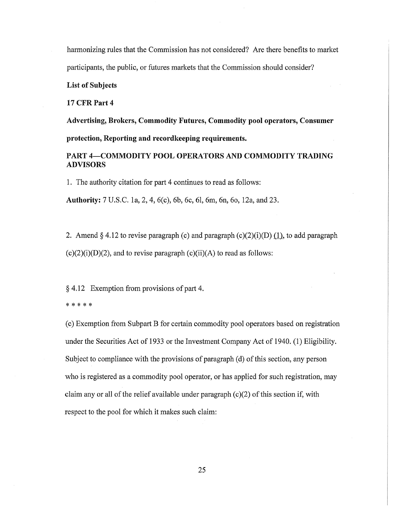harmonizing rules that the Commission has not considered? Are there benefits to market participants, the public, or futures markets that the Commission should consider?

List of Subjects

17 CFR Part 4

Advertising, Brokers, Commodity Futures, Commodity pool operators, Consumer

protection, Reporting and recordkeeping requirements.

# PART 4-COMMODITY POOL OPERATORS AND COMMODITY TRADING ADVISORS

1. The authority citation for part 4 continues to read as follows:

Authority: 7 U.S.C. la, 2, 4, 6(c), 6b, 6c, 61, 6m, 6n, 60, 12a, and 23.

2. Amend § 4.12 to revise paragraph (c) and paragraph (c)(2)(i)(D)  $(1)$ , to add paragraph  $(c)(2)(i)(D)(2)$ , and to revise paragraph  $(c)(ii)(A)$  to read as follows:

§ 4.12 Exemption from provisions of part 4.

\* \* \* \* \*

(c) Exemption from Subpart B for certain commodity pool operators based on registration under the Securities Act of 1933 or the Investment Company Act of 1940. (1) Eligibility. Subject to compliance with the provisions of paragraph (d) of this section, any person who is registered as a commodity pool operator, or has applied for such registration, may claim any or all of the relief available under paragraph  $(c)(2)$  of this section if, with respect to the pool for which it makes such claim: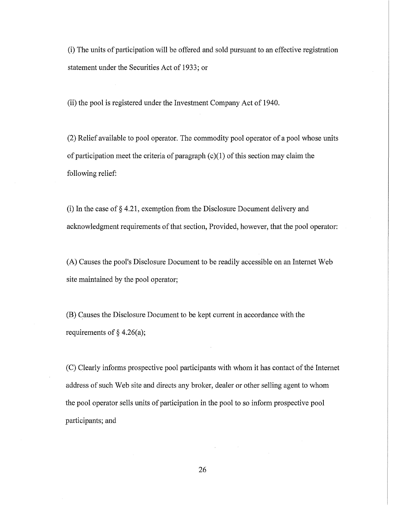(i) The units of participation will be offered and sold pursuant to an effective registration statement under the Securities Act of 1933; or

(ii) the pool is registered under the Investment Company Act of 1940.

(2) Relief available to pool operator. The commodity pool operator of a pool whose units of participation meet the criteria of paragraph (c)(1) of this section may claim the following relief:

(i) In the case of § 4.21, exemption from the Disclosure Document delivery and acknowledgment requirements of that section, Provided, however, that the pool operator:

(A) Causes the pool's Disclosure Document to be readily accessible on an Internet Web site maintained by the pool operator;

(B) Causes the Disclosure Document to be kept current in accordance with the requirements of  $\S$  4.26(a);

(C) Clearly informs prospective pool participants with whom it has contact of the Internet address of such Web site and directs any broker, dealer or other selling agent to whom the pool operator sells units of participation in the pool to so inform prospective pool participants; and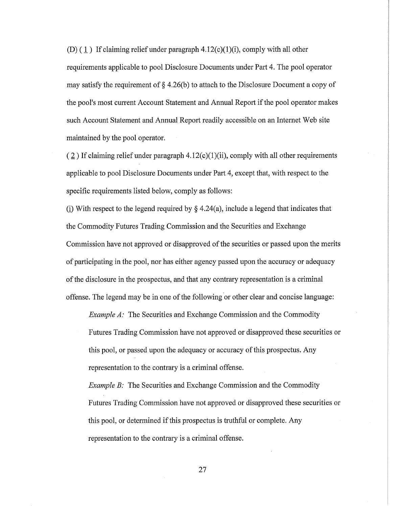(D) ( $1$ ) If claiming relief under paragraph 4.12(c)(1)(i), comply with all other requirements applicable to pool Disclosure Documents under Part 4. The pool operator may satisfy the requirement of  $\S 4.26(b)$  to attach to the Disclosure Document a copy of the pool's most current Account Statement and Annual Report if the pool operator makes such Account Statement and Annual Report readily accessible on an Internet Web site maintained by the pool operator.

 $(2)$  If claiming relief under paragraph 4.12(c)(1)(ii), comply with all other requirements applicable to pool Disclosure Documents under Part 4, except that, with respect to the specific requirements listed below, comply as follows:

(i) With respect to the legend required by  $\S 4.24(a)$ , include a legend that indicates that the Commodity Futures Trading Commission and the Securities and Exchange Commission have not approved or disapproved of the securities or passed upon the merits of participating in the pool, nor has either agency passed upon the accuracy or adequacy of the disclosure in the prospectus, and that any contrary representation is a criminal offense. The legend may be in one of the following 'or other clear and concise language:

*Example A:* The Securities and Exchange Commission and the Commodity Futures Trading Commission have not approved or disapproved these securities or this pool, or passed upon the adequacy or accuracy of this prospectus. Any representation to the contrary is a criminal offense.

*Example B:* The Securities and Exchange Commission and the Commodity Futures Trading Commission have not approved or disapproved these securities or this pool, or determined if this prospectus is truthful or complete. Any representation to the contrary is a criminal offense.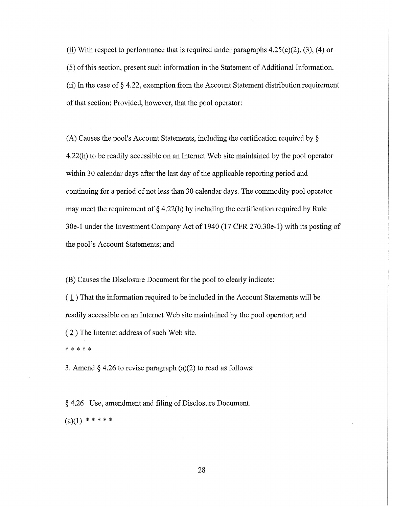(ii) With respect to performance that is required under paragraphs  $4.25(c)(2)$ ,  $(3)$ ,  $(4)$  or (5) of this section, present such information in the Statement of Additional Information. (ii) In the case of  $\S$  4.22, exemption from the Account Statement distribution requirement of that section; Provided, however, that the pool operator:

(A) Causes the pool's Account Statements, including the certification required by § 4.22(h) to be readily accessible on an Internet Web site maintained by the pool operator within 30 calendar days after the last day of the applicable reporting period and. continuing for a period of not less than 30 calendar days. The commodity pool operator may meet the requirement of § 4.22(h) by including the certification required by Rule 30e-1 under the Investment Company Act of 1940 (17 CFR 270.30e-1) with its posting of the pool's Account Statements; and

(B) Causes the Disclosure Document for the pool to clearly indicate:

( 1 ) That the information required to be included in the Account Statements will be readily accessible on an Internet Web site maintained by the pool operator; and  $(2)$  The Internet address of such Web site. \* \* \* \* \*

3. Amend  $\S$  4.26 to revise paragraph (a)(2) to read as follows:

§ 4.26 Use, amendment and filing of Disclosure Document.  $(a)(1)$  \* \* \* \* \*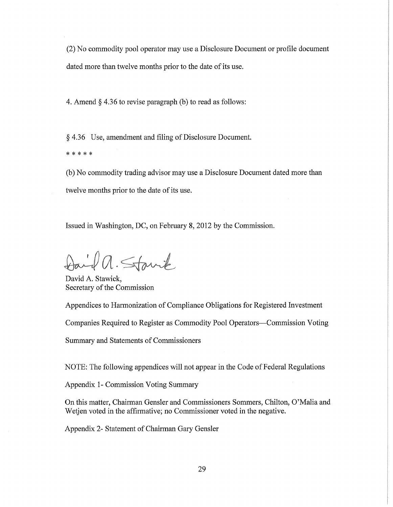(2) No commodity pool operator may use a Disclosure Document or profile document dated more than twelve months prior to the date of its use.

4. Amend § 4.36 to revise paragraph (b) to read as follows:

§ 4.36 Use, amendment and filing of Disclosure Document. \* \* \* \* \*

(b) No commodity trading advisor may use a Disclosure Document dated more than twelve months prior to the date of its use.

Issued in Washington, DC, on February 8, 2012 by the Commission.

Daid a. Stanik

David A. Stawick, Secretary of the Commission

Appendices to Harmonization of Compliance Obligations for Registered Investment

Companies Required to Register as Commodity Pool Operators-Commission Voting

Summary and Statements of Commissioners

NOTE: The following appendices will not appear in the Code of Federal Regulations

Appendix 1- Commission Voting Summary

On this matter, Chairman Gensler and Commissioners Sommers, Chilton, O'Malia and Wetjen voted in the affirmative; no Commissioner voted in the negative.

Appendix 2- Statement of Chairman Gary Gensler